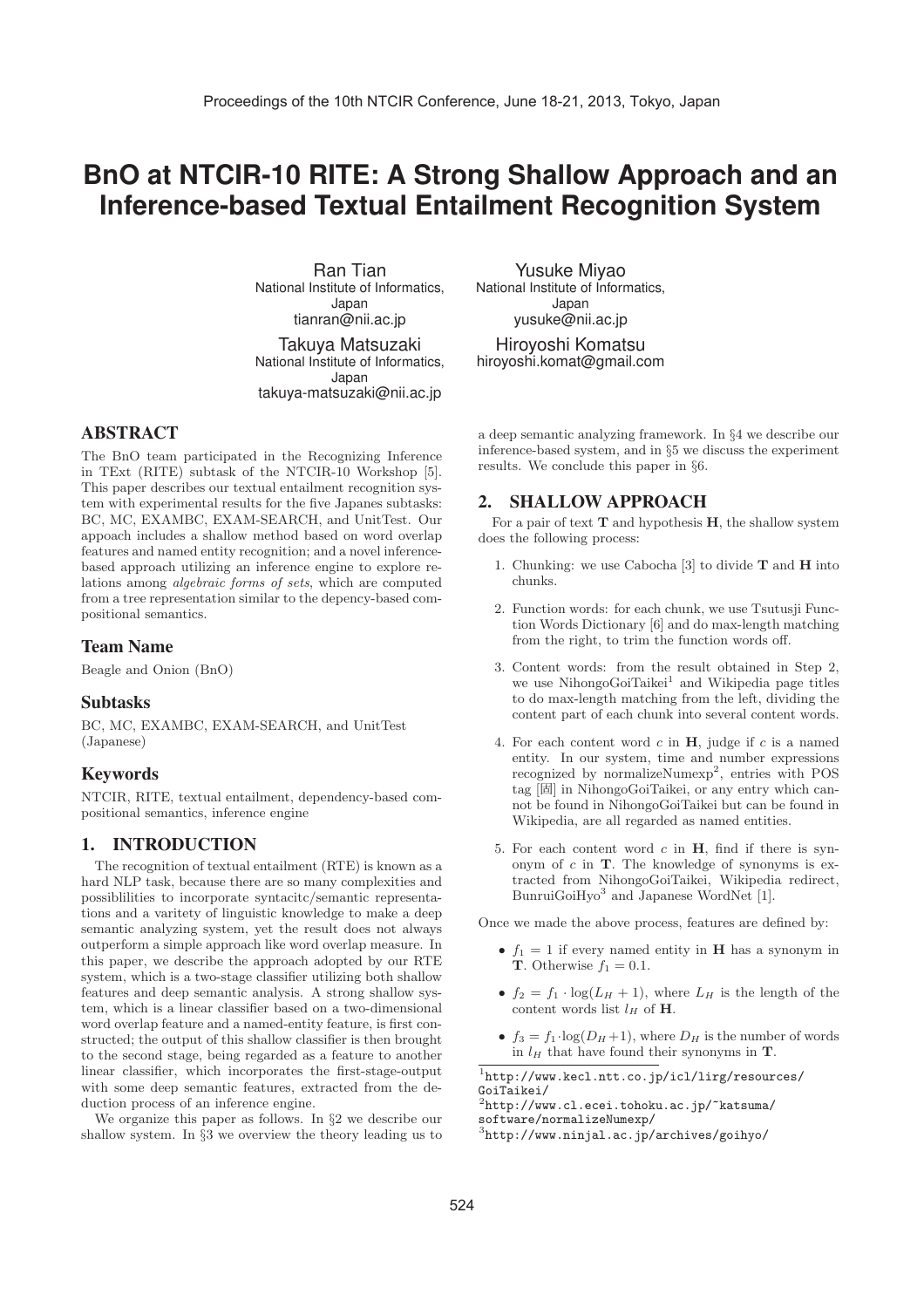# **BnO at NTCIR-10 RITE: A Strong Shallow Approach and an Inference-based Textual Entailment Recognition System**

**Ran Tian** National Institute of Informatics. Japan tianran@nii.ac.jp

Takuya Matsuzaki National Institute of Informatics, suzak

 $\frac{1}{2}$ 

ABSTRACT

The BnO team participated in the Recognizing Inference in TExt (RITE) subtask of the NTCIR-10 Workshop [5]. This paper describes our textual entailment recognition system with experimental results for the five Japanes subtasks: BC, MC, EXAMBC, EXAM-SEARCH, and UnitTest. Our appoach includes a shallow method based on word overlap features and named entity recognition; and a novel inferencebased approach utilizing an inference engine to explore relations among algebraic forms of sets, which are computed from a tree representation similar to the depency-based compositional semantics.

# Team Name

Beagle and Onion (BnO)

## Subtasks

BC, MC, EXAMBC, EXAM-SEARCH, and UnitTest (Japanese)

# Keywords

NTCIR, RITE, textual entailment, dependency-based compositional semantics, inference engine

# 1. INTRODUCTION

The recognition of textual entailment (RTE) is known as a hard NLP task, because there are so many complexities and possiblilities to incorporate syntacitc/semantic representations and a varitety of linguistic knowledge to make a deep semantic analyzing system, yet the result does not always outperform a simple approach like word overlap measure. In this paper, we describe the approach adopted by our RTE system, which is a two-stage classifier utilizing both shallow features and deep semantic analysis. A strong shallow system, which is a linear classifier based on a two-dimensional word overlap feature and a named-entity feature, is first constructed; the output of this shallow classifier is then brought to the second stage, being regarded as a feature to another linear classifier, which incorporates the first-stage-output with some deep semantic features, extracted from the deduction process of an inference engine.

We organize this paper as follows. In §2 we describe our shallow system. In §3 we overview the theory leading us to **Yusuke Miyao**<br>National Institute of Informatics. Japan --------<br>ലമിവ  $y \sim 1$ .ac.jp

- ... . .<br>byoshi.komat@gmail.c hiroyoshi.komatan gunan com

a deep semantic analyzing framework. In §4 we describe our inference-based system, and in §5 we discuss the experiment results. We conclude this paper in §6.

# 2. SHALLOW APPROACH

For a pair of text **T** and hypothesis **H**, the shallow system does the following process:

- 1. Chunking: we use Cabocha [3] to divide **T** and **H** into chunks.
- 2. Function words: for each chunk, we use Tsutusji Function Words Dictionary [6] and do max-length matching from the right, to trim the function words off.
- 3. Content words: from the result obtained in Step 2, we use NihongoGoiTaikei<sup>1</sup> and Wikipedia page titles to do max-length matching from the left, dividing the content part of each chunk into several content words.
- 4. For each content word  $c$  in  $H$ , judge if  $c$  is a named entity. In our system, time and number expressions recognized by normalizeNumexp<sup>2</sup>, entries with POS tag [固] in NihongoGoiTaikei, or any entry which cannot be found in NihongoGoiTaikei but can be found in Wikipedia, are all regarded as named entities.
- 5. For each content word c in **H**, find if there is synonym of c in **T**. The knowledge of synonyms is extracted from NihongoGoiTaikei, Wikipedia redirect, BunruiGoiHyo<sup>3</sup> and Japanese WordNet [1].

Once we made the above process, features are defined by:

- $f_1 = 1$  if every named entity in **H** has a synonym in **T**. Otherwise  $f_1 = 0.1$ .
- $f_2 = f_1 \cdot \log(L_H + 1)$ , where  $L_H$  is the length of the content words list  $l_H$  of **H**.
- $f_3 = f_1 \cdot \log(D_H + 1)$ , where  $D_H$  is the number of words in  $l_H$  that have found their synonyms in **T**.

<sup>1</sup>http://www.kecl.ntt.co.jp/icl/lirg/resources/ GoiTaikei/

 $2$ http://www.cl.ecei.tohoku.ac.jp/~katsuma/ software/normalizeNumexp/

<sup>3</sup>http://www.ninjal.ac.jp/archives/goihyo/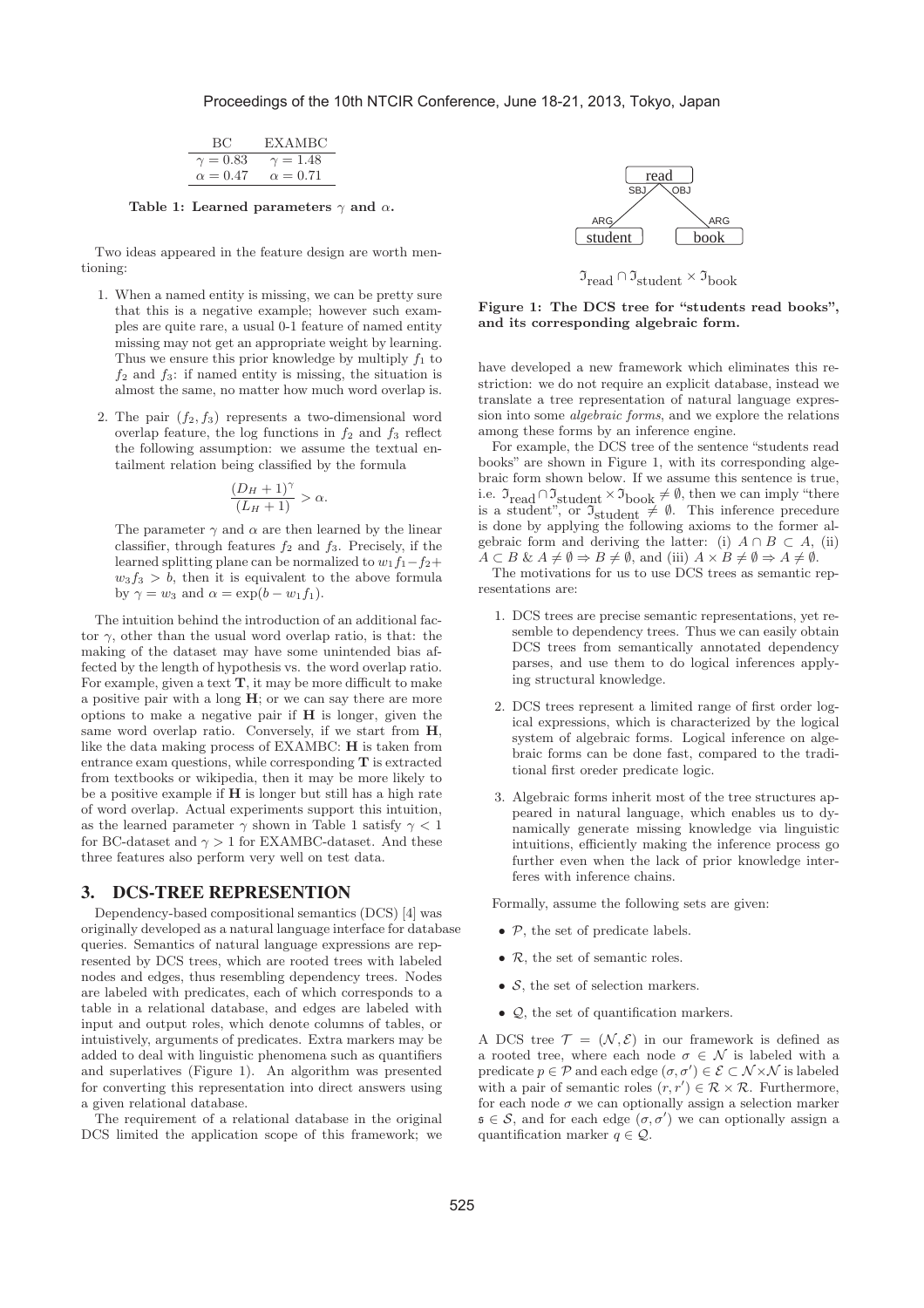| BC.             | <b>EXAMBC</b>   |
|-----------------|-----------------|
| $\gamma = 0.83$ | $\gamma = 1.48$ |
| $\alpha = 0.47$ | $\alpha = 0.71$ |

**Table 1: Learned parameters** γ **and** α**.**

Two ideas appeared in the feature design are worth mentioning:

- 1. When a named entity is missing, we can be pretty sure that this is a negative example; however such examples are quite rare, a usual 0-1 feature of named entity missing may not get an appropriate weight by learning. Thus we ensure this prior knowledge by multiply  $f_1$  to  $f_2$  and  $f_3$ : if named entity is missing, the situation is almost the same, no matter how much word overlap is.
- 2. The pair  $(f_2, f_3)$  represents a two-dimensional word overlap feature, the log functions in  $f_2$  and  $f_3$  reflect the following assumption: we assume the textual entailment relation being classified by the formula

$$
\frac{(D_H+1)^{\gamma}}{(L_H+1)} > \alpha.
$$

The parameter  $\gamma$  and  $\alpha$  are then learned by the linear classifier, through features  $f_2$  and  $f_3$ . Precisely, if the learned splitting plane can be normalized to  $w_1f_1-f_2+$  $w_3f_3 > b$ , then it is equivalent to the above formula by  $\gamma = w_3$  and  $\alpha = \exp(b - w_1 f_1)$ .

The intuition behind the introduction of an additional factor  $\gamma$ , other than the usual word overlap ratio, is that: the making of the dataset may have some unintended bias affected by the length of hypothesis vs. the word overlap ratio. For example, given a text **T**, it may be more difficult to make a positive pair with a long **H**; or we can say there are more options to make a negative pair if **H** is longer, given the same word overlap ratio. Conversely, if we start from **H**, like the data making process of EXAMBC: **H** is taken from entrance exam questions, while corresponding **T** is extracted from textbooks or wikipedia, then it may be more likely to be a positive example if **H** is longer but still has a high rate of word overlap. Actual experiments support this intuition, as the learned parameter  $\gamma$  shown in Table 1 satisfy  $\gamma < 1$ for BC-dataset and  $\gamma > 1$  for EXAMBC-dataset. And these three features also perform very well on test data.

#### 3. DCS-TREE REPRESENTION

Dependency-based compositional semantics (DCS) [4] was originally developed as a natural language interface for database queries. Semantics of natural language expressions are represented by DCS trees, which are rooted trees with labeled nodes and edges, thus resembling dependency trees. Nodes are labeled with predicates, each of which corresponds to a table in a relational database, and edges are labeled with input and output roles, which denote columns of tables, or intuistively, arguments of predicates. Extra markers may be added to deal with linguistic phenomena such as quantifiers and superlatives (Figure 1). An algorithm was presented for converting this representation into direct answers using a given relational database.

The requirement of a relational database in the original DCS limited the application scope of this framework; we



 $\mathfrak{I}_{\text{read}} \cap \mathfrak{I}_{\text{student}} \times \mathfrak{I}_{\text{book}}$ 

**Figure 1: The DCS tree for "students read books", and its corresponding algebraic form.**

have developed a new framework which eliminates this restriction: we do not require an explicit database, instead we translate a tree representation of natural language expression into some algebraic forms, and we explore the relations among these forms by an inference engine.

For example, the DCS tree of the sentence "students read books" are shown in Figure 1, with its corresponding algebraic form shown below. If we assume this sentence is true, i.e.  $\mathfrak{I}_{read} \cap \mathfrak{I}_{student} \times \mathfrak{I}_{book} \neq \emptyset$ , then we can imply "there is a student", or  $\mathfrak{I}_{student} \neq \emptyset$ . This inference precedure is done by applying the following axioms to the former algebraic form and deriving the latter: (i)  $A \cap B \subset A$ , (ii)  $A \subset B \& A \neq \emptyset \Rightarrow B \neq \emptyset$ , and (iii)  $A \times B \neq \emptyset \Rightarrow A \neq \emptyset$ .

The motivations for us to use DCS trees as semantic representations are:

- 1. DCS trees are precise semantic representations, yet resemble to dependency trees. Thus we can easily obtain DCS trees from semantically annotated dependency parses, and use them to do logical inferences applying structural knowledge.
- 2. DCS trees represent a limited range of first order logical expressions, which is characterized by the logical system of algebraic forms. Logical inference on algebraic forms can be done fast, compared to the traditional first oreder predicate logic.
- 3. Algebraic forms inherit most of the tree structures appeared in natural language, which enables us to dynamically generate missing knowledge via linguistic intuitions, efficiently making the inference process go further even when the lack of prior knowledge interferes with inference chains.

Formally, assume the following sets are given:

- $P$ , the set of predicate labels.
- $R$ , the set of semantic roles.
- $S$ , the set of selection markers.
- Q, the set of quantification markers.

A DCS tree  $\mathcal{T} = (\mathcal{N}, \mathcal{E})$  in our framework is defined as a rooted tree, where each node  $\sigma \in \mathcal{N}$  is labeled with a predicate  $p \in \mathcal{P}$  and each edge  $(\sigma, \sigma') \in \mathcal{E} \subset \mathcal{N} \times \mathcal{N}$  is labeled with a pair of semantic roles  $(r, r') \in \mathcal{R} \times \mathcal{R}$ . Furthermore, for each node  $\sigma$  we can optionally assign a selection marker  $\mathfrak{s} \in \mathcal{S}$ , and for each edge  $(\sigma, \sigma')$  we can optionally assign a quantification marker  $q \in \mathcal{Q}$ .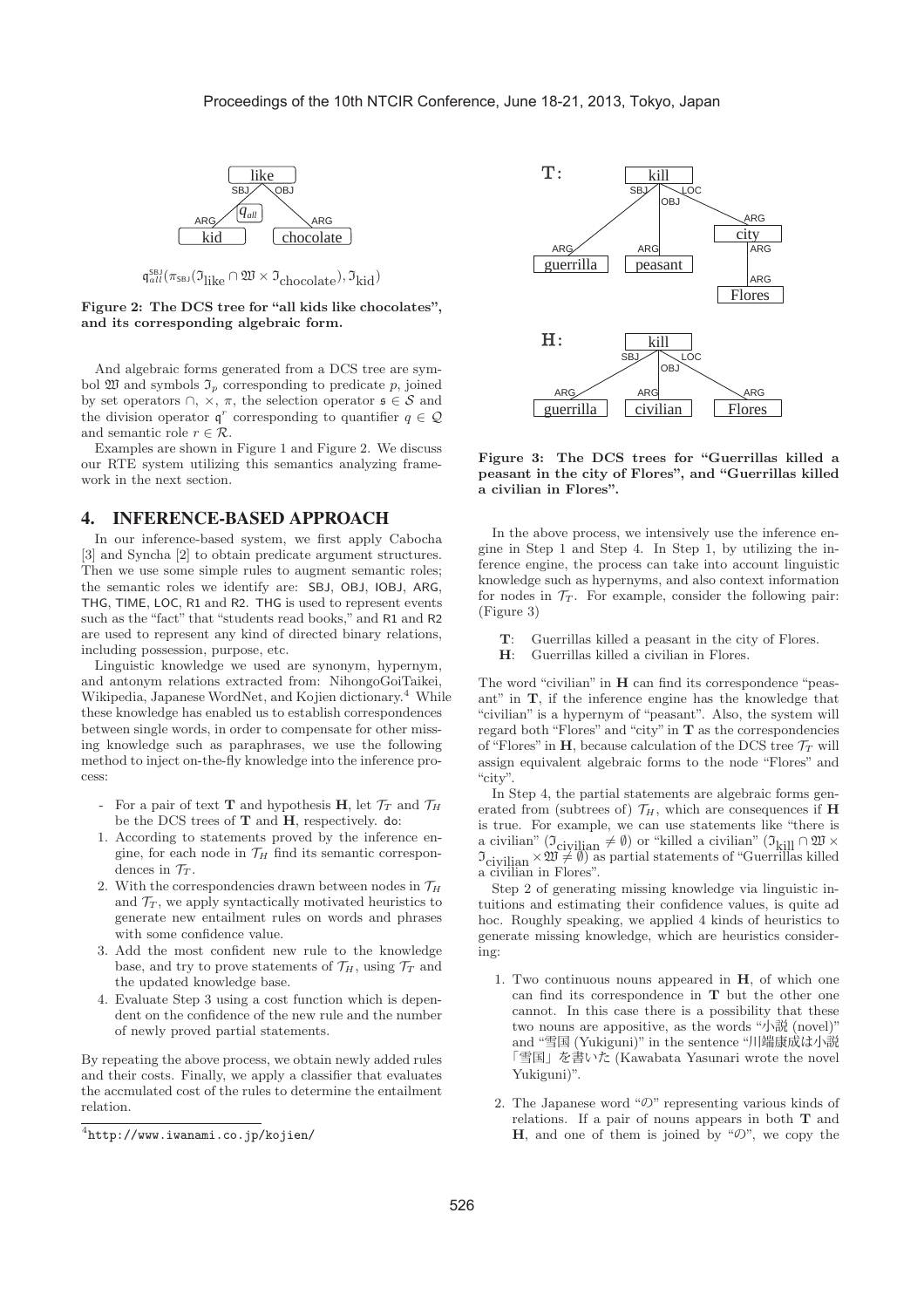



**Figure 2: The DCS tree for "all kids like chocolates", and its corresponding algebraic form.**

And algebraic forms generated from a DCS tree are symbol  $\mathfrak W$  and symbols  $\mathfrak I_p$  corresponding to predicate p, joined by set operators  $\cap$ ,  $\times$ ,  $\pi$ , the selection operator  $\mathfrak{s} \in \mathcal{S}$  and the division operator  $\mathfrak{q}^r$  corresponding to quantifier  $q \in \mathcal{Q}$ and semantic role  $r \in \mathcal{R}$ .

Examples are shown in Figure 1 and Figure 2. We discuss our RTE system utilizing this semantics analyzing framework in the next section.

# 4. INFERENCE-BASED APPROACH

In our inference-based system, we first apply Cabocha [3] and Syncha [2] to obtain predicate argument structures. Then we use some simple rules to augment semantic roles; the semantic roles we identify are: SBJ, OBJ, IOBJ, ARG, THG, TIME, LOC, R1 and R2. THG is used to represent events such as the "fact" that "students read books," and R1 and R2 are used to represent any kind of directed binary relations, including possession, purpose, etc.

Linguistic knowledge we used are synonym, hypernym, and antonym relations extracted from: NihongoGoiTaikei, Wikipedia, Japanese WordNet, and Kojien dictionary.<sup>4</sup> While these knowledge has enabled us to establish correspondences between single words, in order to compensate for other missing knowledge such as paraphrases, we use the following method to inject on-the-fly knowledge into the inference process:

- For a pair of text **T** and hypothesis **H**, let  $\mathcal{T}_T$  and  $\mathcal{T}_H$ be the DCS trees of **T** and **H**, respectively. do:
- 1. According to statements proved by the inference engine, for each node in  $\mathcal{T}_H$  find its semantic correspondences in  $\mathcal{T}_T$ .
- 2. With the correspondencies drawn between nodes in  $\mathcal{T}_H$ and  $\mathcal{T}_T$ , we apply syntactically motivated heuristics to generate new entailment rules on words and phrases with some confidence value.
- 3. Add the most confident new rule to the knowledge base, and try to prove statements of  $\mathcal{T}_H$ , using  $\mathcal{T}_T$  and the updated knowledge base.
- 4. Evaluate Step 3 using a cost function which is dependent on the confidence of the new rule and the number of newly proved partial statements.

By repeating the above process, we obtain newly added rules and their costs. Finally, we apply a classifier that evaluates the accmulated cost of the rules to determine the entailment relation.



**Figure 3: The DCS trees for "Guerrillas killed a peasant in the city of Flores", and "Guerrillas killed a civilian in Flores".**

In the above process, we intensively use the inference engine in Step 1 and Step 4. In Step 1, by utilizing the inference engine, the process can take into account linguistic knowledge such as hypernyms, and also context information for nodes in  $\mathcal{T}_T$ . For example, consider the following pair: (Figure 3)

- **T**: Guerrillas killed a peasant in the city of Flores.
- **H**: Guerrillas killed a civilian in Flores.

The word "civilian" in **H** can find its correspondence "peasant" in **T**, if the inference engine has the knowledge that "civilian" is a hypernym of "peasant". Also, the system will regard both "Flores" and "city" in **T** as the correspondencies of "Flores" in **H**, because calculation of the DCS tree  $\mathcal{T}_T$  will assign equivalent algebraic forms to the node "Flores" and "city".

In Step 4, the partial statements are algebraic forms generated from (subtrees of)  $\mathcal{T}_H$ , which are consequences if **H** is true. For example, we can use statements like "there is a civilian" ( $\mathfrak{I}_{\rm{civilian}} \neq \emptyset$  ) or "killed a civilian" ( $\mathfrak{I}_{\rm{kill}} \cap \mathfrak{W} \times$  $\mathfrak{I}_{\text{civilian}} \times \mathfrak{W} \neq \emptyset$  as partial statements of "Guerrillas killed a civilian in Flores".

Step 2 of generating missing knowledge via linguistic intuitions and estimating their confidence values, is quite ad hoc. Roughly speaking, we applied 4 kinds of heuristics to generate missing knowledge, which are heuristics considering:

- 1. Two continuous nouns appeared in **H**, of which one can find its correspondence in **T** but the other one cannot. In this case there is a possibility that these two nouns are appositive, as the words "小説 (novel)" and "雪国 (Yukiguni)" in the sentence "川端康成は小説 「雪国」を書いた (Kawabata Yasunari wrote the novel Yukiguni)".
- 2. The Japanese word " $\mathcal{O}$ " representing various kinds of relations. If a pair of nouns appears in both **T** and **H**, and one of them is joined by " $\mathcal{D}$ ", we copy the

 $4$ http://www.iwanami.co.jp/kojien/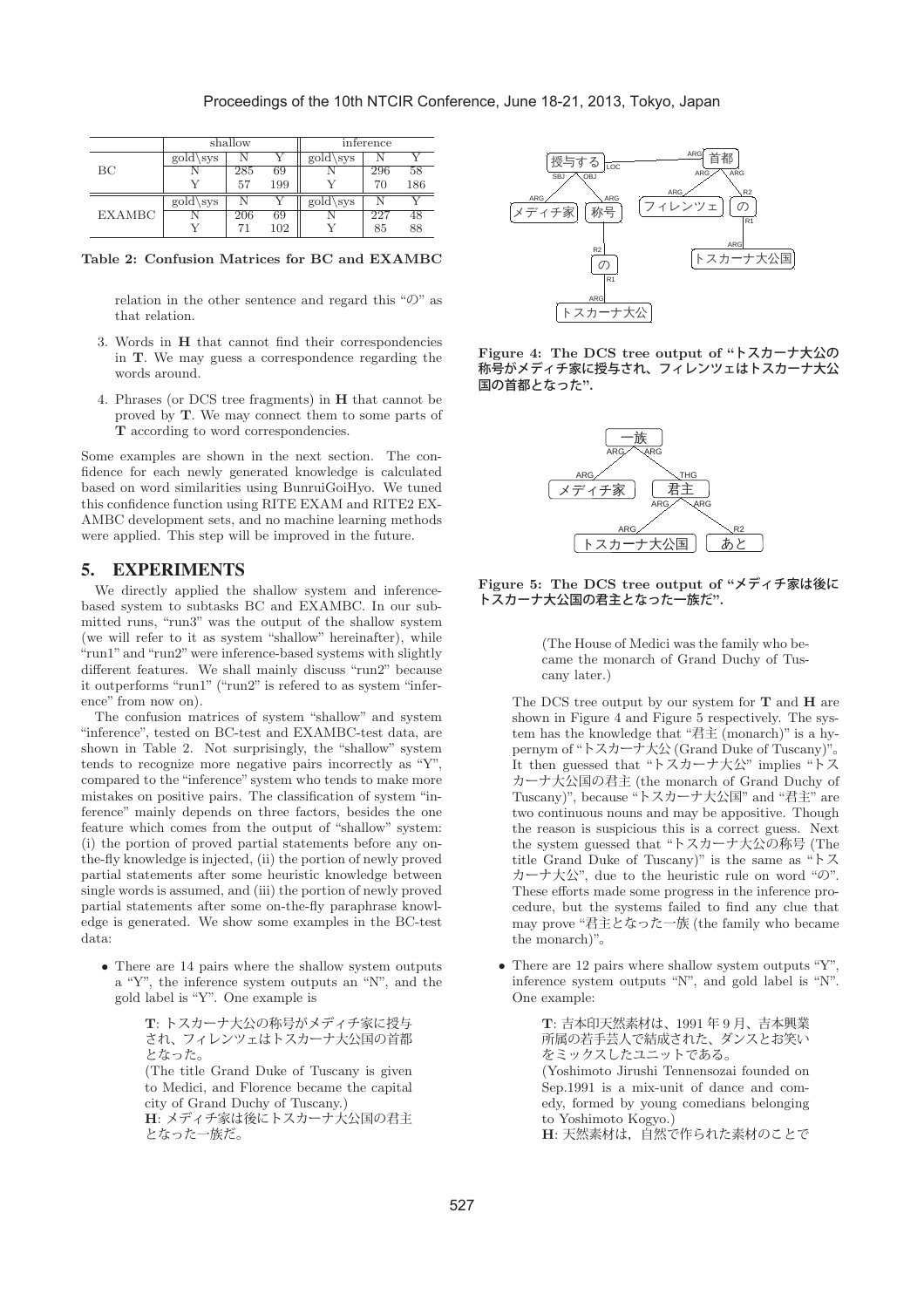#### Proceedings of the 10th NTCIR Conference, June 18-21, 2013, Tokyo, Japan

|               | shallow            |     |     | inference      |     |     |
|---------------|--------------------|-----|-----|----------------|-----|-----|
|               | $\text{gold}\$ sys |     |     | $\text{gold}\$ |     |     |
| BC            |                    | 285 | 69  |                | 296 | 58  |
|               |                    | 57  | 199 |                | 70  | 186 |
|               | $\text{gold}\$     |     |     | gold\sys       |     |     |
| <b>EXAMBC</b> |                    | 206 | 69  |                | 227 | 48  |
|               |                    |     | 102 |                | 85  | 88  |

**Table 2: Confusion Matrices for BC and EXAMBC**

relation in the other sentence and regard this "の" as that relation.

- 3. Words in **H** that cannot find their correspondencies in **T**. We may guess a correspondence regarding the words around.
- 4. Phrases (or DCS tree fragments) in **H** that cannot be proved by **T**. We may connect them to some parts of **T** according to word correspondencies.

Some examples are shown in the next section. The confidence for each newly generated knowledge is calculated based on word similarities using BunruiGoiHyo. We tuned this confidence function using RITE EXAM and RITE2 EX-AMBC development sets, and no machine learning methods were applied. This step will be improved in the future.

# 5. EXPERIMENTS

We directly applied the shallow system and inferencebased system to subtasks BC and EXAMBC. In our submitted runs, "run3" was the output of the shallow system (we will refer to it as system "shallow" hereinafter), while "run1" and "run2" were inference-based systems with slightly different features. We shall mainly discuss "run2" because it outperforms "run1" ("run2" is refered to as system "inference" from now on).

The confusion matrices of system "shallow" and system "inference", tested on BC-test and EXAMBC-test data, are shown in Table 2. Not surprisingly, the "shallow" system tends to recognize more negative pairs incorrectly as "Y", compared to the "inference" system who tends to make more mistakes on positive pairs. The classification of system "inference" mainly depends on three factors, besides the one feature which comes from the output of "shallow" system: (i) the portion of proved partial statements before any onthe-fly knowledge is injected, (ii) the portion of newly proved partial statements after some heuristic knowledge between single words is assumed, and (iii) the portion of newly proved partial statements after some on-the-fly paraphrase knowledge is generated. We show some examples in the BC-test data:

• There are 14 pairs where the shallow system outputs a "Y", the inference system outputs an "N", and the gold label is "Y". One example is

> **T**: トスカーナ大公の称号がメディチ家に授与 され、フィレンツェはトスカーナ大公国の首都 となった。 (The title Grand Duke of Tuscany is given to Medici, and Florence became the capital city of Grand Duchy of Tuscany.) **H**: メディチ家は後にトスカーナ大公国の君主 となった一族だ。



**Figure 4: The DCS tree output of "**トスカーナ大公の 称号がメディチ家に授与され、フィレンツェはトスカーナ大公 国の首都となった**".**



**Figure 5: The DCS tree output of "**メディチ家は後に トスカーナ大公国の君主となった一族だ**".**

(The House of Medici was the family who became the monarch of Grand Duchy of Tuscany later.)

The DCS tree output by our system for **T** and **H** are shown in Figure 4 and Figure 5 respectively. The system has the knowledge that "君主 (monarch)" is a hypernym of "トスカーナ大公 (Grand Duke of Tuscany)" It then guessed that "トスカーナ大公" implies "トス カーナ大公国の君主 (the monarch of Grand Duchy of Tuscany)", because "トスカーナ大公国" and "君主" are two continuous nouns and may be appositive. Though the reason is suspicious this is a correct guess. Next the system guessed that "トスカーナ大公の称号 (The title Grand Duke of Tuscany)" is the same as "トス カーナ大公", due to the heuristic rule on word "の". These efforts made some progress in the inference procedure, but the systems failed to find any clue that may prove "君主となった一族 (the family who became the monarch)"。

• There are 12 pairs where shallow system outputs "Y". inference system outputs "N", and gold label is "N". One example:

> **T**: 吉本印天然素材は、1991 年 9 月、吉本興業 所属の若手芸人で結成された、ダンスとお笑い をミックスしたユニットである。 (Yoshimoto Jirushi Tennensozai founded on Sep.1991 is a mix-unit of dance and comedy, formed by young comedians belonging to Yoshimoto Kogyo.) **H**: 天然素材は,自然で作られた素材のことで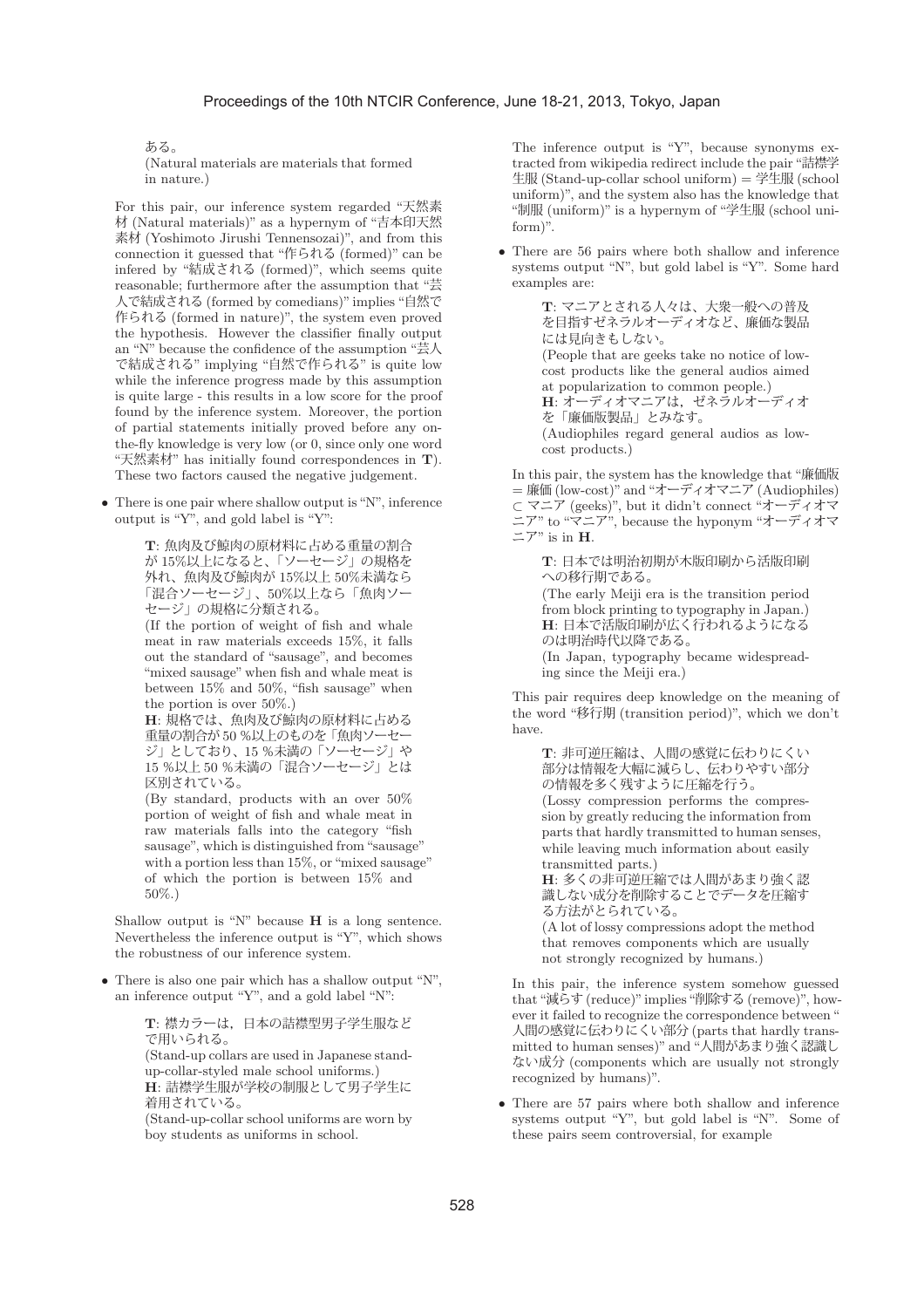ある。

(Natural materials are materials that formed in nature.)

For this pair, our inference system regarded "天然素 材 (Natural materials)" as a hypernym of "吉本印天然 素材 (Yoshimoto Jirushi Tennensozai)", and from this connection it guessed that "作られる (formed)" can be infered by "結成される (formed)", which seems quite reasonable; furthermore after the assumption that "芸 人で結成される (formed by comedians)" implies "自然で 作られる (formed in nature)", the system even proved the hypothesis. However the classifier finally output an "N" because the confidence of the assumption "芸人 で結成される" implying "自然で作られる" is quite low while the inference progress made by this assumption is quite large - this results in a low score for the proof found by the inference system. Moreover, the portion of partial statements initially proved before any onthe-fly knowledge is very low (or 0, since only one word "天然素材" has initially found correspondences in **T**). These two factors caused the negative judgement.

 $\bullet~$  There is one pair where shallow output is "N", inference output is "Y", and gold label is "Y":

> **T**: 魚肉及び鯨肉の原材料に占める重量の割合 が 15%以上になると、「ソーセージ」の規格を 外れ、魚肉及び鯨肉が 15%以上 50%未満なら 「混合ソーセージ」、50%以上なら「魚肉ソー セージ」の規格に分類される。

(If the portion of weight of fish and whale meat in raw materials exceeds 15%, it falls out the standard of "sausage", and becomes "mixed sausage" when fish and whale meat is between 15% and 50%, "fish sausage" when the portion is over 50%.)

**H**: 規格では、魚肉及び鯨肉の原材料に占める 重量の割合が 50 %以上のものを「魚肉ソーセー ジ」としており、15 %未満の「ソーセージ」や 15 %以上 50 %未満の「混合ソーセージ」とは 区別されている。

(By standard, products with an over 50% portion of weight of fish and whale meat in raw materials falls into the category "fish sausage", which is distinguished from"sausage" with a portion less than  $15\%$ , or "mixed sausage" of which the portion is between 15% and 50%.)

Shallow output is "N" because **H** is a long sentence. Nevertheless the inference output is "Y", which shows the robustness of our inference system.

• There is also one pair which has a shallow output "N", an inference output "Y", and a gold label "N":

> **T**: 襟カラーは,日本の詰襟型男子学生服など で用いられる。

> (Stand-up collars are used in Japanese standup-collar-styled male school uniforms.) **H**: 詰襟学生服が学校の制服として男子学生に 着用されている。

> (Stand-up-collar school uniforms are worn by boy students as uniforms in school.

The inference output is "Y", because synonyms extracted from wikipedia redirect include the pair "詰襟学 生服 (Stand-up-collar school uniform) = 学生服 (school uniform)", and the system also has the knowledge that "制服 (uniform)" is a hypernym of "学生服 (school uniform)".

• There are 56 pairs where both shallow and inference systems output "N", but gold label is "Y". Some hard examples are:

> **T**: マニアとされる人々は、大衆一般への普及 を目指すゼネラルオーディオなど、廉価な製品 には見向きもしない。 (People that are geeks take no notice of lowcost products like the general audios aimed at popularization to common people.) **H**: オーディオマニアは,ゼネラルオーディオ を「廉価版製品」とみなす。 (Audiophiles regard general audios as lowcost products.)

In this pair, the system has the knowledge that "廉価版 = 廉価 (low-cost)" and "オーディオマニア (Audiophiles) ⊂ マニア (geeks)", but it didn't connect "オーディオマ ニア" to "マニア", because the hyponym "オーディオマ  $\equiv$  $7"$  is in **H**.

**T**: 日本では明治初期が木版印刷から活版印刷 への移行期である。 (The early Meiji era is the transition period from block printing to typography in Japan.) **H**: 日本で活版印刷が広く行われるようになる のは明治時代以降である。 (In Japan, typography became widespreading since the Meiji era.)

This pair requires deep knowledge on the meaning of the word "移行期 (transition period)", which we don't have.

**T**: 非可逆圧縮は、人間の感覚に伝わりにくい 部分は情報を大幅に減らし、伝わりやすい部分 の情報を多く残すように圧縮を行う。 (Lossy compression performs the compression by greatly reducing the information from parts that hardly transmitted to human senses, while leaving much information about easily transmitted parts.)

**H**: 多くの非可逆圧縮では人間があまり強く認 識しない成分を削除することでデータを圧縮す る方法がとられている。

(A lot of lossy compressions adopt the method that removes components which are usually not strongly recognized by humans.)

In this pair, the inference system somehow guessed that"減らす(reduce)"implies"削除する(remove)", however it failed to recognize the correspondence between " 人間の感覚に伝わりにくい部分 (parts that hardly transmitted to human senses)" and "人間があまり強く認識し ない成分 (components which are usually not strongly recognized by humans)".

• There are 57 pairs where both shallow and inference systems output "Y", but gold label is "N". Some of these pairs seem controversial, for example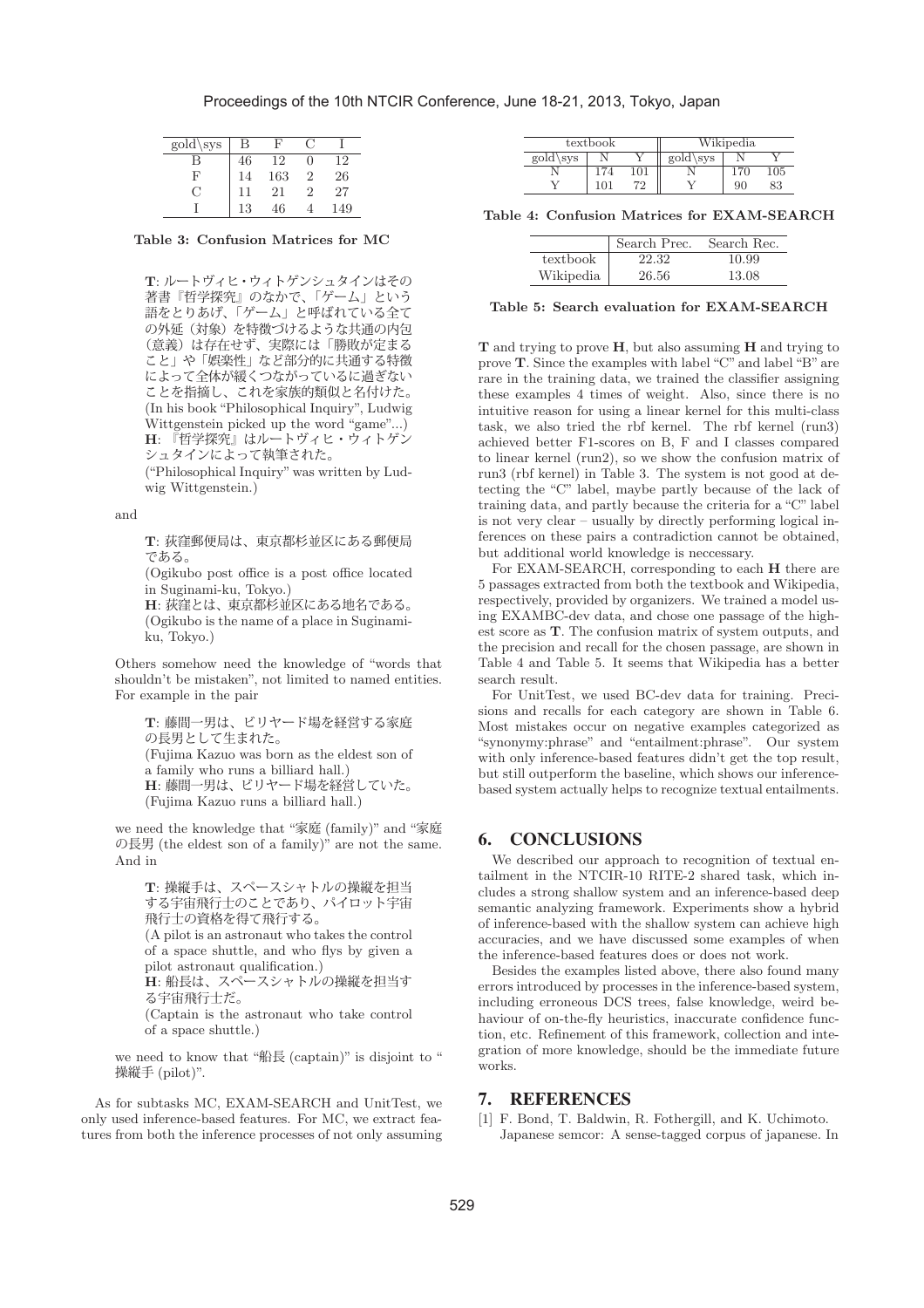| $\overline{\text{gold}}\text{sys}$ | В  |     |   |     |
|------------------------------------|----|-----|---|-----|
| В                                  | 46 | 12  |   | (2) |
| F                                  | 14 | 163 | 9 | 26  |
| . ا                                | 11 | 21  |   | 27  |
|                                    | 13 | 46  |   | 49  |

**Table 3: Confusion Matrices for MC**

**T**: ルートヴィヒ・ウィトゲンシュタインはその 著書『哲学探究』のなかで、「ゲーム」という 語をとりあげ、「ゲーム」と呼ばれている全て の外延(対象)を特徴づけるような共通の内包 (意義)は存在せず、実際には「勝敗が定まる こと」や「娯楽性」など部分的に共通する特徴 によって全体が緩くつながっているに過ぎない ことを指摘し、これを家族的類似と名付けた。 (In his book "Philosophical Inquiry", Ludwig Wittgenstein picked up the word "game"...) **H**: 『哲学探究』はルートヴィヒ・ウィトゲン シュタインによって執筆された。

("Philosophical Inquiry" was written by Ludwig Wittgenstein.)

and

**T**: 荻窪郵便局は、東京都杉並区にある郵便局 である。

(Ogikubo post office is a post office located in Suginami-ku, Tokyo.)

**H**: 荻窪とは、東京都杉並区にある地名である。 (Ogikubo is the name of a place in Suginamiku, Tokyo.)

Others somehow need the knowledge of "words that shouldn't be mistaken", not limited to named entities. For example in the pair

**T**: 藤間一男は、ビリヤード場を経営する家庭 の長男として生まれた。 (Fujima Kazuo was born as the eldest son of a family who runs a billiard hall.) **H**: 藤間一男は、ビリヤード場を経営していた。 (Fujima Kazuo runs a billiard hall.)

we need the knowledge that "家庭 (family)" and "家庭 の長男 (the eldest son of a family)" are not the same. And in

```
T: 操縦手は、スペースシャトルの操縦を担当
する宇宙飛行士のことであり、パイロット宇宙
飛行士の資格を得て飛行する。
(A pilot is an astronaut who takes the control
of a space shuttle, and who flys by given a
pilot astronaut qualification.)
H: 船長は、スペースシャトルの操縦を担当す
る宇宙飛行士だ。
(Captain is the astronaut who take control
of a space shuttle.)
```
we need to know that "船長 (captain)" is disjoint to " 操縦手 (pilot)".

As for subtasks MC, EXAM-SEARCH and UnitTest, we only used inference-based features. For MC, we extract features from both the inference processes of not only assuming

|                    | textbook |    |                    | Wikipedia |     |
|--------------------|----------|----|--------------------|-----------|-----|
| $\text{gold}\$ sys |          |    | $\text{gold}\$ sys |           |     |
|                    |          |    |                    |           | 105 |
|                    |          | 79 |                    |           | 33  |

**Table 4: Confusion Matrices for EXAM-SEARCH**

|           | Search Prec. | Search Rec. |
|-----------|--------------|-------------|
| textbook  | 22.32        | 10.99       |
| Wikipedia | 26.56        | 13.08       |

#### **Table 5: Search evaluation for EXAM-SEARCH**

**T** and trying to prove **H**, but also assuming **H** and trying to prove **T**. Since the examples with label "C" and label "B" are rare in the training data, we trained the classifier assigning these examples 4 times of weight. Also, since there is no intuitive reason for using a linear kernel for this multi-class task, we also tried the rbf kernel. The rbf kernel (run3) achieved better F1-scores on B, F and I classes compared to linear kernel (run2), so we show the confusion matrix of run3 (rbf kernel) in Table 3. The system is not good at detecting the "C" label, maybe partly because of the lack of training data, and partly because the criteria for a "C" label is not very clear – usually by directly performing logical inferences on these pairs a contradiction cannot be obtained, but additional world knowledge is neccessary.

For EXAM-SEARCH, corresponding to each **H** there are 5 passages extracted from both the textbook and Wikipedia, respectively, provided by organizers. We trained a model using EXAMBC-dev data, and chose one passage of the highest score as **T**. The confusion matrix of system outputs, and the precision and recall for the chosen passage, are shown in Table 4 and Table 5. It seems that Wikipedia has a better search result.

For UnitTest, we used BC-dev data for training. Precisions and recalls for each category are shown in Table 6. Most mistakes occur on negative examples categorized as "synonymy:phrase" and "entailment:phrase". Our system with only inference-based features didn't get the top result, but still outperform the baseline, which shows our inferencebased system actually helps to recognize textual entailments.

# 6. CONCLUSIONS

We described our approach to recognition of textual entailment in the NTCIR-10 RITE-2 shared task, which includes a strong shallow system and an inference-based deep semantic analyzing framework. Experiments show a hybrid of inference-based with the shallow system can achieve high accuracies, and we have discussed some examples of when the inference-based features does or does not work.

Besides the examples listed above, there also found many errors introduced by processes in the inference-based system, including erroneous DCS trees, false knowledge, weird behaviour of on-the-fly heuristics, inaccurate confidence function, etc. Refinement of this framework, collection and integration of more knowledge, should be the immediate future works.

## 7. REFERENCES

[1] F. Bond, T. Baldwin, R. Fothergill, and K. Uchimoto. Japanese semcor: A sense-tagged corpus of japanese. In